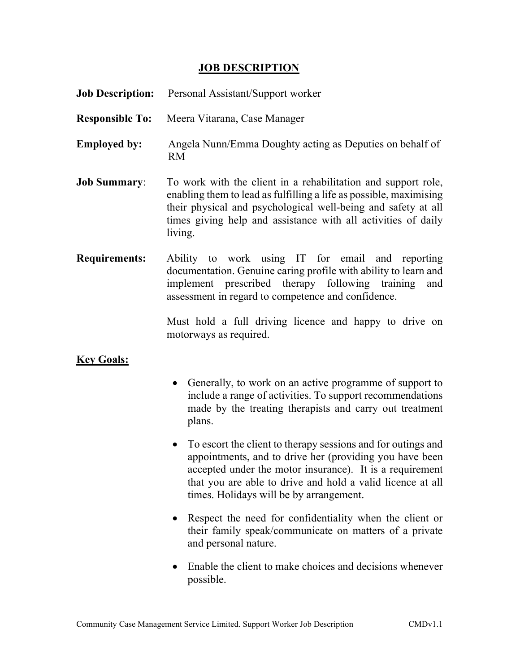## **JOB DESCRIPTION**

| <b>Job Description:</b> | Personal Assistant/Support worker                                                                                                                                                                                                                                                                         |
|-------------------------|-----------------------------------------------------------------------------------------------------------------------------------------------------------------------------------------------------------------------------------------------------------------------------------------------------------|
| <b>Responsible To:</b>  | Meera Vitarana, Case Manager                                                                                                                                                                                                                                                                              |
| <b>Employed by:</b>     | Angela Nunn/Emma Doughty acting as Deputies on behalf of<br><b>RM</b>                                                                                                                                                                                                                                     |
| <b>Job Summary:</b>     | To work with the client in a rehabilitation and support role,<br>enabling them to lead as fulfilling a life as possible, maximising<br>their physical and psychological well-being and safety at all<br>times giving help and assistance with all activities of daily<br>living.                          |
| <b>Requirements:</b>    | Ability to work using IT for email and reporting<br>documentation. Genuine caring profile with ability to learn and<br>implement prescribed therapy following training<br>and<br>assessment in regard to competence and confidence.                                                                       |
|                         | Must hold a full driving licence and happy to drive on<br>motorways as required.                                                                                                                                                                                                                          |
| <b>Key Goals:</b>       |                                                                                                                                                                                                                                                                                                           |
|                         | • Generally, to work on an active programme of support to<br>include a range of activities. To support recommendations<br>made by the treating therapists and carry out treatment<br>plans.                                                                                                               |
|                         | To escort the client to therapy sessions and for outings and<br>$\bullet$<br>appointments, and to drive her (providing you have been<br>accepted under the motor insurance). It is a requirement<br>that you are able to drive and hold a valid licence at all<br>times. Holidays will be by arrangement. |
|                         | • Respect the need for confidentiality when the client or<br>their family speak/communicate on matters of a private<br>and personal nature.                                                                                                                                                               |
|                         |                                                                                                                                                                                                                                                                                                           |

 Enable the client to make choices and decisions whenever possible.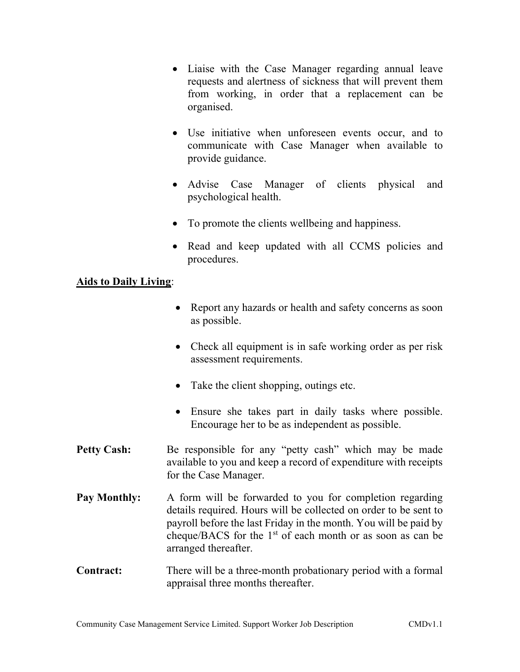- Liaise with the Case Manager regarding annual leave requests and alertness of sickness that will prevent them from working, in order that a replacement can be organised.
- Use initiative when unforeseen events occur, and to communicate with Case Manager when available to provide guidance.
- Advise Case Manager of clients physical and psychological health.
- To promote the clients wellbeing and happiness.
- Read and keep updated with all CCMS policies and procedures.

## Aids to Daily Living:

- Report any hazards or health and safety concerns as soon as possible.
- Check all equipment is in safe working order as per risk assessment requirements.
- Take the client shopping, outings etc.
- Ensure she takes part in daily tasks where possible. Encourage her to be as independent as possible.
- Petty Cash: Be responsible for any "petty cash" which may be made available to you and keep a record of expenditure with receipts for the Case Manager.
- Pay Monthly: A form will be forwarded to you for completion regarding details required. Hours will be collected on order to be sent to payroll before the last Friday in the month. You will be paid by cheque/BACS for the  $1<sup>st</sup>$  of each month or as soon as can be arranged thereafter.
- Contract: There will be a three-month probationary period with a formal appraisal three months thereafter.